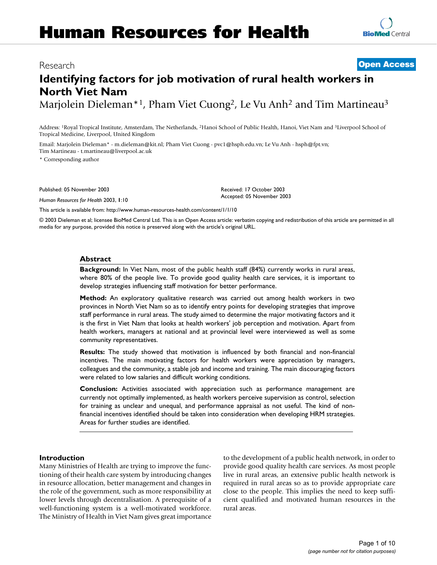# **Human Resources for Health**

# **Identifying factors for job motivation of rural health workers in North Viet Nam**

Marjolein Dieleman<sup>\*1</sup>, Pham Viet Cuong<sup>2</sup>, Le Vu Anh<sup>2</sup> and Tim Martineau<sup>3</sup>

Address: 1Royal Tropical Institute, Amsterdam, The Netherlands, 2Hanoi School of Public Health, Hanoi, Viet Nam and 3Liverpool School of Tropical Medicine, Liverpool, United Kingdom

Email: Marjolein Dieleman\* - m.dieleman@kit.nl; Pham Viet Cuong - pvc1@hsph.edu.vn; Le Vu Anh - hsph@fpt.vn; Tim Martineau - t.martineau@liverpool.ac.uk

\* Corresponding author

Published: 05 November 2003

*Human Resources for Health* 2003, **1**:10

Received: 17 October 2003 Accepted: 05 November 2003

[This article is available from: http://www.human-resources-health.com/content/1/1/10](http://www.human-resources-health.com/content/1/1/10)

© 2003 Dieleman et al; licensee BioMed Central Ltd. This is an Open Access article: verbatim copying and redistribution of this article are permitted in all media for any purpose, provided this notice is preserved along with the article's original URL.

#### **Abstract**

**Background:** In Viet Nam, most of the public health staff (84%) currently works in rural areas, where 80% of the people live. To provide good quality health care services, it is important to develop strategies influencing staff motivation for better performance.

**Method:** An exploratory qualitative research was carried out among health workers in two provinces in North Viet Nam so as to identify entry points for developing strategies that improve staff performance in rural areas. The study aimed to determine the major motivating factors and it is the first in Viet Nam that looks at health workers' job perception and motivation. Apart from health workers, managers at national and at provincial level were interviewed as well as some community representatives.

**Results:** The study showed that motivation is influenced by both financial and non-financial incentives. The main motivating factors for health workers were appreciation by managers, colleagues and the community, a stable job and income and training. The main discouraging factors were related to low salaries and difficult working conditions.

**Conclusion:** Activities associated with appreciation such as performance management are currently not optimally implemented, as health workers perceive supervision as control, selection for training as unclear and unequal, and performance appraisal as not useful. The kind of nonfinancial incentives identified should be taken into consideration when developing HRM strategies. Areas for further studies are identified.

#### **Introduction**

Many Ministries of Health are trying to improve the functioning of their health care system by introducing changes in resource allocation, better management and changes in the role of the government, such as more responsibility at lower levels through decentralisation. A prerequisite of a well-functioning system is a well-motivated workforce. The Ministry of Health in Viet Nam gives great importance to the development of a public health network, in order to provide good quality health care services. As most people live in rural areas, an extensive public health network is required in rural areas so as to provide appropriate care close to the people. This implies the need to keep sufficient qualified and motivated human resources in the rural areas.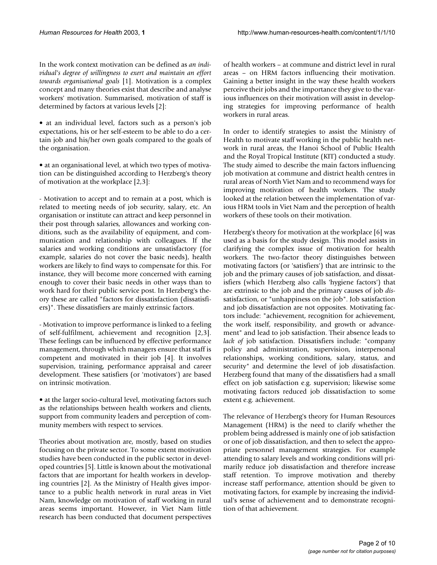In the work context motivation can be defined as *an individual's degree of willingness to exert and maintain an effort towards organisational goals* [1]. Motivation is a complex concept and many theories exist that describe and analyse workers' motivation. Summarised, motivation of staff is determined by factors at various levels [2]:

• at an individual level, factors such as a person's job expectations, his or her self-esteem to be able to do a certain job and his/her own goals compared to the goals of the organisation.

• at an organisational level, at which two types of motivation can be distinguished according to Herzberg's theory of motivation at the workplace [2,3]:

- Motivation to accept and to remain at a post, which is related to meeting needs of job security, salary, etc. An organisation or institute can attract and keep personnel in their post through salaries, allowances and working conditions, such as the availability of equipment, and communication and relationship with colleagues. If the salaries and working conditions are unsatisfactory (for example, salaries do not cover the basic needs), health workers are likely to find ways to compensate for this. For instance, they will become more concerned with earning enough to cover their basic needs in other ways than to work hard for their public service post. In Herzberg's theory these are called "factors for dissatisfaction (dissatisfiers)". These dissatisfiers are mainly extrinsic factors.

- Motivation to improve performance is linked to a feeling of self-fulfilment, achievement and recognition [2,3]. These feelings can be influenced by effective performance management, through which managers ensure that staff is competent and motivated in their job [4]. It involves supervision, training, performance appraisal and career development. These satisfiers (or 'motivators') are based on intrinsic motivation.

• at the larger socio-cultural level, motivating factors such as the relationships between health workers and clients, support from community leaders and perception of community members with respect to services.

Theories about motivation are, mostly, based on studies focusing on the private sector. To some extent motivation studies have been conducted in the public sector in developed countries [5]. Little is known about the motivational factors that are important for health workers in developing countries [2]. As the Ministry of Health gives importance to a public health network in rural areas in Viet Nam, knowledge on motivation of staff working in rural areas seems important. However, in Viet Nam little research has been conducted that document perspectives

of health workers – at commune and district level in rural areas – on HRM factors influencing their motivation. Gaining a better insight in the way these health workers perceive their jobs and the importance they give to the various influences on their motivation will assist in developing strategies for improving performance of health workers in rural areas.

In order to identify strategies to assist the Ministry of Health to motivate staff working in the public health network in rural areas, the Hanoi School of Public Health and the Royal Tropical Institute (KIT) conducted a study. The study aimed to describe the main factors influencing job motivation at commune and district health centres in rural areas of North Viet Nam and to recommend ways for improving motivation of health workers. The study looked at the relation between the implementation of various HRM tools in Viet Nam and the perception of health workers of these tools on their motivation.

Herzberg's theory for motivation at the workplace [6] was used as a basis for the study design. This model assists in clarifying the complex issue of motivation for health workers. The two-factor theory distinguishes between motivating factors (or 'satisfiers') that are intrinsic to the job and the primary causes of job satisfaction, and dissatisfiers (which Herzberg also calls 'hygiene factors') that are extrinsic to the job and the primary causes of job *dis*satisfaction, or "unhappiness on the job". Job satisfaction and job dissatisfaction are not opposites. Motivating factors include: "achievement, recognition for achievement, the work itself, responsibility, and growth or advancement" and lead to job satisfaction. Their absence leads to lack of job satisfaction. Dissatisfiers include: "company policy and administration, supervision, interpersonal relationships, working conditions, salary, status, and security" and determine the level of job *dis*satisfaction. Herzberg found that many of the dissatisfiers had a small effect on job satisfaction e.g. supervision; likewise some motivating factors reduced job dissatisfaction to some extent e.g. achievement.

The relevance of Herzberg's theory for Human Resources Management (HRM) is the need to clarify whether the problem being addressed is mainly one of job satisfaction or one of job dissatisfaction, and then to select the appropriate personnel management strategies. For example attending to salary levels and working conditions will primarily reduce job dissatisfaction and therefore increase staff retention. To improve motivation and thereby increase staff performance, attention should be given to motivating factors, for example by increasing the individual's sense of achievement and to demonstrate recognition of that achievement.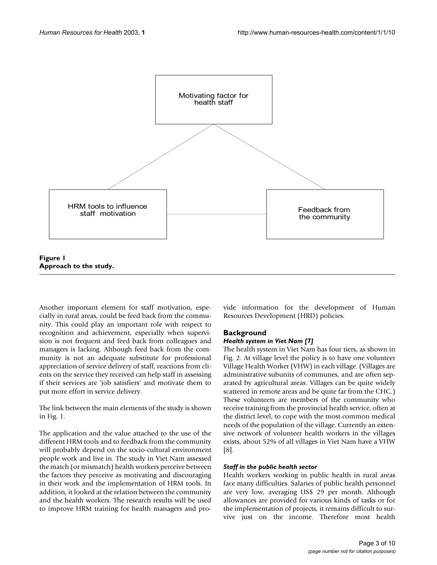

Another important element for staff motivation, especially in rural areas, could be feed back from the community. This could play an important role with respect to recognition and achievement, especially when supervision is not frequent and feed back from colleagues and managers is lacking. Although feed back from the community is not an adequate substitute for professional appreciation of service delivery of staff, reactions from clients on the service they received can help staff in assessing if their services are 'job satisfiers' and motivate them to put more effort in service delivery.

The link between the main elements of the study is shown in Fig. 1.

The application and the value attached to the use of the different HRM tools and to feedback from the community will probably depend on the socio-cultural environment people work and live in. The study in Viet Nam assessed the match (or mismatch) health workers perceive between the factors they perceive as motivating and discouraging in their work and the implementation of HRM tools. In addition, it looked at the relation between the community and the health workers. The research results will be used to improve HRM training for health managers and provide information for the development of Human Resources Development (HRD) policies.

# **Background**

# *Health system in Viet Nam [7]*

The health system in Viet Nam has four tiers, as shown in Fig. [2](#page-3-0). At village level the policy is to have one volunteer Village Health Worker (VHW) in each village. (Villages are administrative subunits of communes, and are often separated by agricultural areas. Villages can be quite widely scattered in remote areas and be quite far from the CHC.) These volunteers are members of the community who receive training from the provincial health service, often at the district level, to cope with the most common medical needs of the population of the village. Currently an extensive network of volunteer health workers in the villages exists, about 52% of all villages in Viet Nam have a VHW [8].

#### *Staff in the public health sector*

Health workers working in public health in rural areas face many difficulties. Salaries of public health personnel are very low, averaging US\$ 29 per month. Although allowances are provided for various kinds of tasks or for the implementation of projects, it remains difficult to survive just on the income. Therefore most health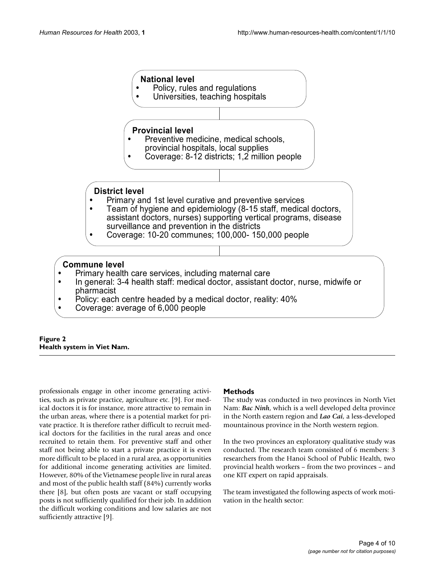<span id="page-3-0"></span>

#### **Figure 2 Health system in Viet Nam.**

professionals engage in other income generating activities, such as private practice, agriculture etc. [9]. For medical doctors it is for instance, more attractive to remain in the urban areas, where there is a potential market for private practice. It is therefore rather difficult to recruit medical doctors for the facilities in the rural areas and once recruited to retain them. For preventive staff and other staff not being able to start a private practice it is even more difficult to be placed in a rural area, as opportunities for additional income generating activities are limited. However, 80% of the Vietnamese people live in rural areas and most of the public health staff (84%) currently works there [8], but often posts are vacant or staff occupying posts is not sufficiently qualified for their job. In addition the difficult working conditions and low salaries are not sufficiently attractive [9].

# **Methods**

The study was conducted in two provinces in North Viet Nam: *Bac Ninh*, which is a well developed delta province in the North eastern region and *Lao Cai*, a less-developed mountainous province in the North western region.

In the two provinces an exploratory qualitative study was conducted. The research team consisted of 6 members: 3 researchers from the Hanoi School of Public Health, two provincial health workers – from the two provinces – and one KIT expert on rapid appraisals.

The team investigated the following aspects of work motivation in the health sector: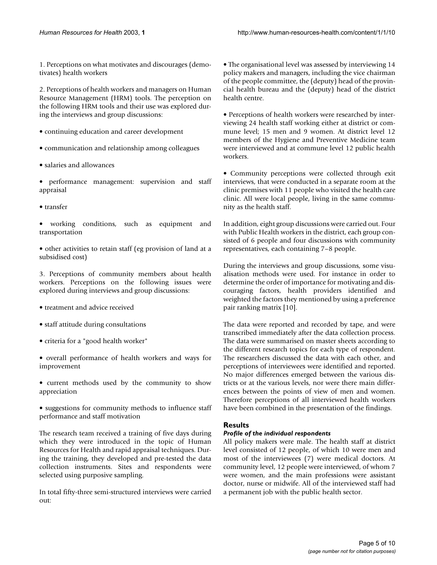1. Perceptions on what motivates and discourages (demotivates) health workers

2. Perceptions of health workers and managers on Human Resource Management (HRM) tools. The perception on the following HRM tools and their use was explored during the interviews and group discussions:

- continuing education and career development
- communication and relationship among colleagues
- salaries and allowances

• performance management: supervision and staff appraisal

- transfer
- working conditions, such as equipment and transportation

• other activities to retain staff (eg provision of land at a subsidised cost)

3. Perceptions of community members about health workers. Perceptions on the following issues were explored during interviews and group discussions:

- treatment and advice received
- staff attitude during consultations
- criteria for a "good health worker"
- overall performance of health workers and ways for improvement
- current methods used by the community to show appreciation
- suggestions for community methods to influence staff performance and staff motivation

The research team received a training of five days during which they were introduced in the topic of Human Resources for Health and rapid appraisal techniques. During the training, they developed and pre-tested the data collection instruments. Sites and respondents were selected using purposive sampling.

In total fifty-three semi-structured interviews were carried  $O<sub>11</sub>$ 

• The organisational level was assessed by interviewing 14 policy makers and managers, including the vice chairman of the people committee, the (deputy) head of the provincial health bureau and the (deputy) head of the district health centre.

• Perceptions of health workers were researched by interviewing 24 health staff working either at district or commune level; 15 men and 9 women. At district level 12 members of the Hygiene and Preventive Medicine team were interviewed and at commune level 12 public health workers.

• Community perceptions were collected through exit interviews, that were conducted in a separate room at the clinic premises with 11 people who visited the health care clinic. All were local people, living in the same community as the health staff.

In addition, eight group discussions were carried out. Four with Public Health workers in the district, each group consisted of 6 people and four discussions with community representatives, each containing 7–8 people.

During the interviews and group discussions, some visualisation methods were used. For instance in order to determine the order of importance for motivating and discouraging factors, health providers identified and weighted the factors they mentioned by using a preference pair ranking matrix [10].

The data were reported and recorded by tape, and were transcribed immediately after the data collection process. The data were summarised on master sheets according to the different research topics for each type of respondent. The researchers discussed the data with each other, and perceptions of interviewees were identified and reported. No major differences emerged between the various districts or at the various levels, nor were there main differences between the points of view of men and women. Therefore perceptions of all interviewed health workers have been combined in the presentation of the findings.

# **Results**

# *Profile of the individual respondents*

All policy makers were male. The health staff at district level consisted of 12 people, of which 10 were men and most of the interviewees (7) were medical doctors. At community level, 12 people were interviewed, of whom 7 were women, and the main professions were assistant doctor, nurse or midwife. All of the interviewed staff had a permanent job with the public health sector.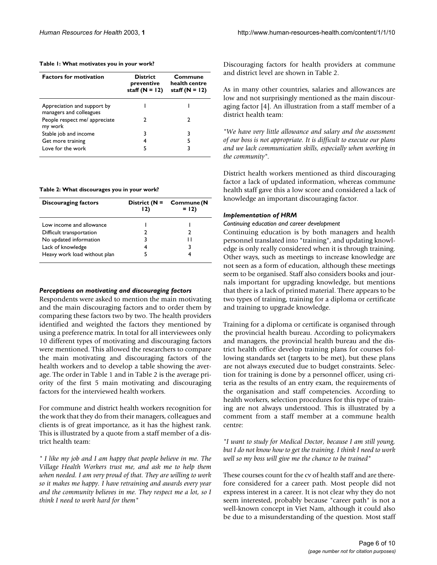#### <span id="page-5-0"></span>**Table 1: What motivates you in your work?**

| <b>Eactors for motivation</b>                          | <b>District</b><br>preventive<br>staff ( $N = 12$ ) | Commune<br>health centre<br>staff ( $N = 12$ ) |
|--------------------------------------------------------|-----------------------------------------------------|------------------------------------------------|
| Appreciation and support by<br>managers and colleagues |                                                     |                                                |
| People respect me/ appreciate<br>my work               |                                                     | າ                                              |
| Stable job and income                                  | ٦                                                   | ٦                                              |
| Get more training                                      |                                                     | 5                                              |
| Love for the work                                      |                                                     | 3                                              |

#### <span id="page-5-1"></span>**Table 2: What discourages you in your work?**

| <b>Discouraging factors</b>  | District ( $N =$<br>12) | Commune (N<br>$= 12$ |
|------------------------------|-------------------------|----------------------|
| Low income and allowance     |                         |                      |
| Difficult transportation     |                         |                      |
| No updated information       |                         |                      |
| Lack of knowledge            | 4                       |                      |
| Heavy work load without plan |                         |                      |

#### *Perceptions on motivating and discouraging factors*

Respondents were asked to mention the main motivating and the main discouraging factors and to order them by comparing these factors two by two. The health providers identified and weighted the factors they mentioned by using a preference matrix. In total for all interviewees only 10 different types of motivating and discouraging factors were mentioned. This allowed the researchers to compare the main motivating and discouraging factors of the health workers and to develop a table showing the average. The order in Table [1](#page-5-0) and in Table [2](#page-5-1) is the average priority of the first 5 main motivating and discouraging factors for the interviewed health workers.

For commune and district health workers recognition for the work that they do from their managers, colleagues and clients is of great importance, as it has the highest rank. This is illustrated by a quote from a staff member of a district health team:

*" I like my job and I am happy that people believe in me. The Village Health Workers trust me, and ask me to help them when needed. I am very proud of that. They are willing to work so it makes me happy. I have retraining and awards every year and the community believes in me. They respect me a lot, so I think I need to work hard for them"*

Discouraging factors for health providers at commune and district level are shown in Table [2.](#page-5-1)

As in many other countries, salaries and allowances are low and not surprisingly mentioned as the main discouraging factor [4]. An illustration from a staff member of a district health team:

*"We have very little allowance and salary and the assessment of our boss is not appropriate. It is difficult to execute our plans and we lack communication skills, especially when working in the community".*

District health workers mentioned as third discouraging factor a lack of updated information, whereas commune health staff gave this a low score and considered a lack of knowledge an important discouraging factor.

#### *Implementation of HRM*

#### *Continuing education and career development*

Continuing education is by both managers and health personnel translated into "training", and updating knowledge is only really considered when it is through training. Other ways, such as meetings to increase knowledge are not seen as a form of education, although these meetings seem to be organised. Staff also considers books and journals important for upgrading knowledge, but mentions that there is a lack of printed material. There appears to be two types of training, training for a diploma or certificate and training to upgrade knowledge.

Training for a diploma or certificate is organised through the provincial health bureau. According to policymakers and managers, the provincial health bureau and the district health office develop training plans for courses following standards set (targets to be met), but these plans are not always executed due to budget constraints. Selection for training is done by a personnel officer, using criteria as the results of an entry exam, the requirements of the organisation and staff competencies. According to health workers, selection procedures for this type of training are not always understood. This is illustrated by a comment from a staff member at a commune health centre:

*"I want to study for Medical Doctor, because I am still young, but I do not know how to get the training. I think I need to work well so my boss will give me the chance to be trained"*

These courses count for the cv of health staff and are therefore considered for a career path. Most people did not express interest in a career. It is not clear why they do not seem interested, probably because "career path" is not a well-known concept in Viet Nam, although it could also be due to a misunderstanding of the question. Most staff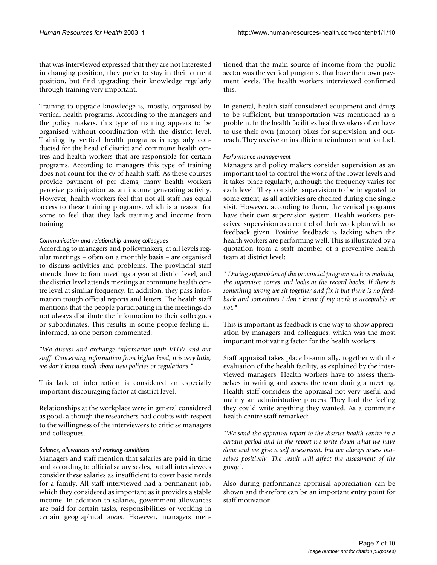that was interviewed expressed that they are not interested in changing position, they prefer to stay in their current position, but find upgrading their knowledge regularly through training very important.

Training to upgrade knowledge is, mostly, organised by vertical health programs. According to the managers and the policy makers, this type of training appears to be organised without coordination with the district level. Training by vertical health programs is regularly conducted for the head of district and commune health centres and health workers that are responsible for certain programs. According to managers this type of training does not count for the cv of health staff. As these courses provide payment of per diems, many health workers perceive participation as an income generating activity. However, health workers feel that not all staff has equal access to these training programs, which is a reason for some to feel that they lack training and income from training.

#### *Communication and relationship among colleagues*

According to managers and policymakers, at all levels regular meetings – often on a monthly basis – are organised to discuss activities and problems. The provincial staff attends three to four meetings a year at district level, and the district level attends meetings at commune health centre level at similar frequency. In addition, they pass information trough official reports and letters. The health staff mentions that the people participating in the meetings do not always distribute the information to their colleagues or subordinates. This results in some people feeling illinformed, as one person commented:

*"We discuss and exchange information with VHW and our staff. Concerning information from higher level, it is very little, we don't know much about new policies or regulations."*

This lack of information is considered an especially important discouraging factor at district level.

Relationships at the workplace were in general considered as good, although the researchers had doubts with respect to the willingness of the interviewees to criticise managers and colleagues.

#### *Salaries, allowances and working conditions*

Managers and staff mention that salaries are paid in time and according to official salary scales, but all interviewees consider these salaries as insufficient to cover basic needs for a family. All staff interviewed had a permanent job, which they considered as important as it provides a stable income. In addition to salaries, government allowances are paid for certain tasks, responsibilities or working in certain geographical areas. However, managers mentioned that the main source of income from the public sector was the vertical programs, that have their own payment levels. The health workers interviewed confirmed this.

In general, health staff considered equipment and drugs to be sufficient, but transportation was mentioned as a problem. In the health facilities health workers often have to use their own (motor) bikes for supervision and outreach. They receive an insufficient reimbursement for fuel.

#### *Performance management*

Managers and policy makers consider supervision as an important tool to control the work of the lower levels and it takes place regularly, although the frequency varies for each level. They consider supervision to be integrated to some extent, as all activities are checked during one single visit. However, according to them, the vertical programs have their own supervision system. Health workers perceived supervision as a control of their work plan with no feedback given. Positive feedback is lacking when the health workers are performing well. This is illustrated by a quotation from a staff member of a preventive health team at district level:

*" During supervision of the provincial program such as malaria, the supervisor comes and looks at the record books. If there is something wrong we sit together and fix it but there is no feedback and sometimes I don't know if my work is acceptable or not."*

This is important as feedback is one way to show appreciation by managers and colleagues, which was the most important motivating factor for the health workers.

Staff appraisal takes place bi-annually, together with the evaluation of the health facility, as explained by the interviewed managers. Health workers have to assess themselves in writing and assess the team during a meeting. Health staff considers the appraisal not very useful and mainly an administrative process. They had the feeling they could write anything they wanted. As a commune health centre staff remarked:

*"We send the appraisal report to the district health centre in a certain period and in the report we write down what we have done and we give a self assessment, but we always assess ourselves positively. The result will affect the assessment of the group".*

Also during performance appraisal appreciation can be shown and therefore can be an important entry point for staff motivation.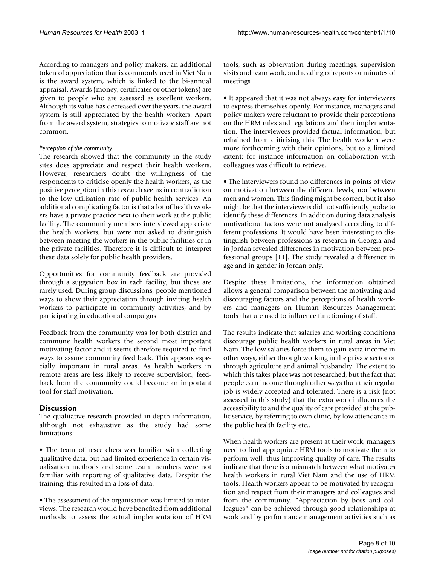According to managers and policy makers, an additional token of appreciation that is commonly used in Viet Nam is the award system, which is linked to the bi-annual appraisal. Awards (money, certificates or other tokens) are given to people who are assessed as excellent workers. Although its value has decreased over the years, the award system is still appreciated by the health workers. Apart from the award system, strategies to motivate staff are not common.

# *Perception of the community*

The research showed that the community in the study sites does appreciate and respect their health workers. However, researchers doubt the willingness of the respondents to criticise openly the health workers, as the positive perception in this research seems in contradiction to the low utilisation rate of public health services. An additional complicating factor is that a lot of health workers have a private practice next to their work at the public facility. The community members interviewed appreciate the health workers, but were not asked to distinguish between meeting the workers in the public facilities or in the private facilities. Therefore it is difficult to interpret these data solely for public health providers.

Opportunities for community feedback are provided through a suggestion box in each facility, but those are rarely used. During group discussions, people mentioned ways to show their appreciation through inviting health workers to participate in community activities, and by participating in educational campaigns.

Feedback from the community was for both district and commune health workers the second most important motivating factor and it seems therefore required to find ways to assure community feed back. This appears especially important in rural areas. As health workers in remote areas are less likely to receive supervision, feedback from the community could become an important tool for staff motivation.

# **Discussion**

The qualitative research provided in-depth information, although not exhaustive as the study had some limitations:

• The team of researchers was familiar with collecting qualitative data, but had limited experience in certain visualisation methods and some team members were not familiar with reporting of qualitative data. Despite the training, this resulted in a loss of data.

• The assessment of the organisation was limited to interviews. The research would have benefited from additional methods to assess the actual implementation of HRM

tools, such as observation during meetings, supervision visits and team work, and reading of reports or minutes of meetings

• It appeared that it was not always easy for interviewees to express themselves openly. For instance, managers and policy makers were reluctant to provide their perceptions on the HRM rules and regulations and their implementation. The interviewees provided factual information, but refrained from criticising this. The health workers were more forthcoming with their opinions, but to a limited extent: for instance information on collaboration with colleagues was difficult to retrieve.

• The interviewers found no differences in points of view on motivation between the different levels, nor between men and women. This finding might be correct, but it also might be that the interviewers did not sufficiently probe to identify these differences. In addition during data analysis motivational factors were not analysed according to different professions. It would have been interesting to distinguish between professions as research in Georgia and in Jordan revealed differences in motivation between professional groups [11]. The study revealed a difference in age and in gender in Jordan only.

Despite these limitations, the information obtained allows a general comparison between the motivating and discouraging factors and the perceptions of health workers and managers on Human Resources Management tools that are used to influence functioning of staff.

The results indicate that salaries and working conditions discourage public health workers in rural areas in Viet Nam. The low salaries force them to gain extra income in other ways, either through working in the private sector or through agriculture and animal husbandry. The extent to which this takes place was not researched, but the fact that people earn income through other ways than their regular job is widely accepted and tolerated. There is a risk (not assessed in this study) that the extra work influences the accessibility to and the quality of care provided at the public service, by referring to own clinic, by low attendance in the public health facility etc..

When health workers are present at their work, managers need to find appropriate HRM tools to motivate them to perform well, thus improving quality of care. The results indicate that there is a mismatch between what motivates health workers in rural Viet Nam and the use of HRM tools. Health workers appear to be motivated by recognition and respect from their managers and colleagues and from the community. "Appreciation by boss and colleagues" can be achieved through good relationships at work and by performance management activities such as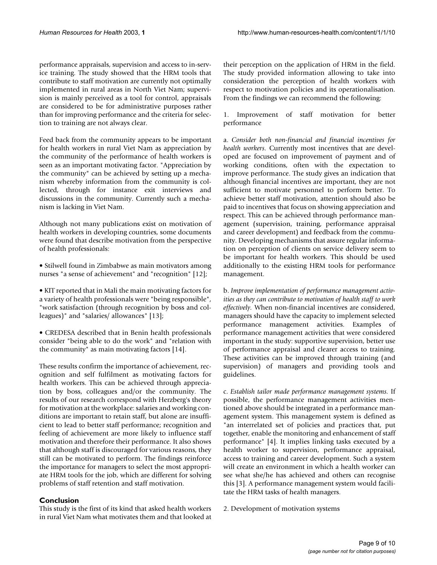performance appraisals, supervision and access to in-service training. The study showed that the HRM tools that contribute to staff motivation are currently not optimally implemented in rural areas in North Viet Nam; supervision is mainly perceived as a tool for control, appraisals are considered to be for administrative purposes rather than for improving performance and the criteria for selection to training are not always clear.

Feed back from the community appears to be important for health workers in rural Viet Nam as appreciation by the community of the performance of health workers is seen as an important motivating factor. "Appreciation by the community" can be achieved by setting up a mechanism whereby information from the community is collected, through for instance exit interviews and discussions in the community. Currently such a mechanism is lacking in Viet Nam.

Although not many publications exist on motivation of health workers in developing countries, some documents were found that describe motivation from the perspective of health professionals:

- Stilwell found in Zimbabwe as main motivators among nurses "a sense of achievement" and "recognition" [12];
- KIT reported that in Mali the main motivating factors for a variety of health professionals were "being responsible", "work satisfaction (through recognition by boss and colleagues)" and "salaries/ allowances" [13];
- CREDESA described that in Benin health professionals consider "being able to do the work" and "relation with the community" as main motivating factors [14].

These results confirm the importance of achievement, recognition and self fulfilment as motivating factors for health workers. This can be achieved through appreciation by boss, colleagues and/or the community. The results of our research correspond with Herzberg's theory for motivation at the workplace: salaries and working conditions are important to retain staff, but alone are insufficient to lead to better staff performance; recognition and feeling of achievement are more likely to influence staff motivation and therefore their performance. It also shows that although staff is discouraged for various reasons, they still can be motivated to perform. The findings reinforce the importance for managers to select the most appropriate HRM tools for the job, which are different for solving problems of staff retention and staff motivation.

# **Conclusion**

This study is the first of its kind that asked health workers in rural Viet Nam what motivates them and that looked at

their perception on the application of HRM in the field. The study provided information allowing to take into consideration the perception of health workers with respect to motivation policies and its operationalisation. From the findings we can recommend the following:

1. Improvement of staff motivation for better performance

a. *Consider both non-financial and financial incentives for health workers.* Currently most incentives that are developed are focused on improvement of payment and of working conditions, often with the expectation to improve performance. The study gives an indication that although financial incentives are important, they are not sufficient to motivate personnel to perform better. To achieve better staff motivation, attention should also be paid to incentives that focus on showing appreciation and respect. This can be achieved through performance management (supervision, training, performance appraisal and career development) and feedback from the community. Developing mechanisms that assure regular information on perception of clients on service delivery seem to be important for health workers. This should be used additionally to the existing HRM tools for performance management.

b. *Improve implementation of performance management activities as they can contribute to motivation of health staff to work effectively.* When non-financial incentives are considered, managers should have the capacity to implement selected performance management activities. Examples of performance management activities that were considered important in the study: supportive supervision, better use of performance appraisal and clearer access to training. These activities can be improved through training (and supervision) of managers and providing tools and guidelines.

c. *Establish tailor made performance management systems.* If possible, the performance management activities mentioned above should be integrated in a performance management system. This management system is defined as "an interrelated set of policies and practices that, put together, enable the monitoring and enhancement of staff performance" [4]. It implies linking tasks executed by a health worker to supervision, performance appraisal, access to training and career development. Such a system will create an environment in which a health worker can see what she/he has achieved and others can recognise this [3]. A performance management system would facilitate the HRM tasks of health managers.

2. Development of motivation systems